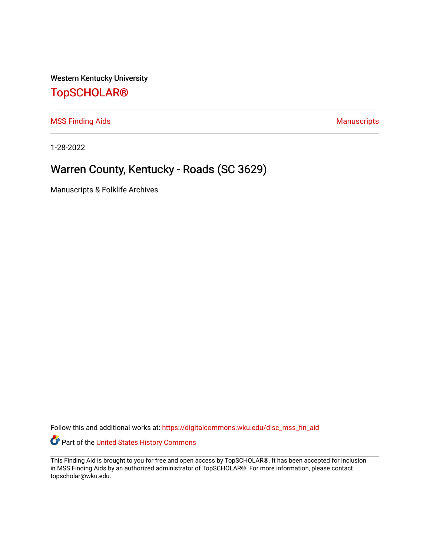Western Kentucky University

## [TopSCHOLAR®](https://digitalcommons.wku.edu/)

[MSS Finding Aids](https://digitalcommons.wku.edu/dlsc_mss_fin_aid) **MSS** Finding Aids **Manuscripts** Manuscripts

1-28-2022

# Warren County, Kentucky - Roads (SC 3629)

Manuscripts & Folklife Archives

Follow this and additional works at: [https://digitalcommons.wku.edu/dlsc\\_mss\\_fin\\_aid](https://digitalcommons.wku.edu/dlsc_mss_fin_aid?utm_source=digitalcommons.wku.edu%2Fdlsc_mss_fin_aid%2F4993&utm_medium=PDF&utm_campaign=PDFCoverPages) 

Part of the [United States History Commons](http://network.bepress.com/hgg/discipline/495?utm_source=digitalcommons.wku.edu%2Fdlsc_mss_fin_aid%2F4993&utm_medium=PDF&utm_campaign=PDFCoverPages) 

This Finding Aid is brought to you for free and open access by TopSCHOLAR®. It has been accepted for inclusion in MSS Finding Aids by an authorized administrator of TopSCHOLAR®. For more information, please contact topscholar@wku.edu.